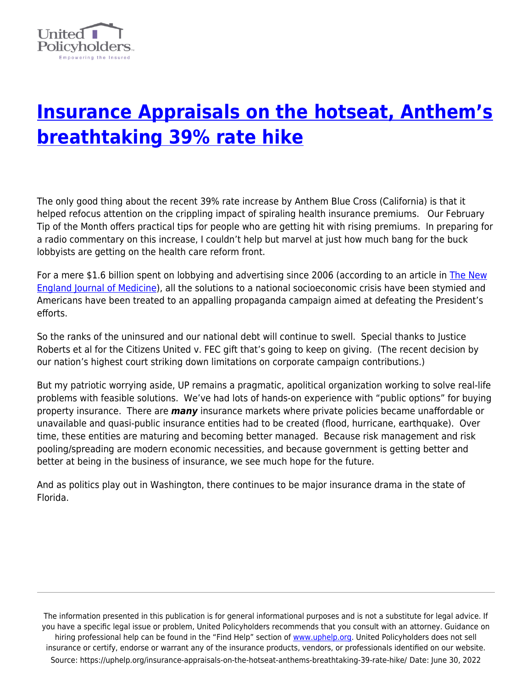

## **[Insurance Appraisals on the hotseat, Anthem's](https://uphelp.org/insurance-appraisals-on-the-hotseat-anthems-breathtaking-39-rate-hike/) [breathtaking 39% rate hike](https://uphelp.org/insurance-appraisals-on-the-hotseat-anthems-breathtaking-39-rate-hike/)**

The only good thing about the recent 39% rate increase by Anthem Blue Cross (California) is that it helped refocus attention on the crippling impact of spiraling health insurance premiums. Our February Tip of the Month offers practical tips for people who are getting hit with rising premiums. In preparing for a radio commentary on this increase, I couldn't help but marvel at just how much bang for the buck lobbyists are getting on the health care reform front.

For a mere \$1.6 billion spent on lobbying and advertising since 2006 (according to an article in [The New](http://healthcarereform.nejm.org/?p=2358) [England Journal of Medicine](http://healthcarereform.nejm.org/?p=2358)), all the solutions to a national socioeconomic crisis have been stymied and Americans have been treated to an appalling propaganda campaign aimed at defeating the President's efforts.

So the ranks of the uninsured and our national debt will continue to swell. Special thanks to Justice Roberts et al for the Citizens United v. FEC gift that's going to keep on giving. (The recent decision by our nation's highest court striking down limitations on corporate campaign contributions.)

But my patriotic worrying aside, UP remains a pragmatic, apolitical organization working to solve real-life problems with feasible solutions. We've had lots of hands-on experience with "public options" for buying property insurance. There are *many* insurance markets where private policies became unaffordable or unavailable and quasi-public insurance entities had to be created (flood, hurricane, earthquake). Over time, these entities are maturing and becoming better managed. Because risk management and risk pooling/spreading are modern economic necessities, and because government is getting better and better at being in the business of insurance, we see much hope for the future.

And as politics play out in Washington, there continues to be major insurance drama in the state of Florida.

The information presented in this publication is for general informational purposes and is not a substitute for legal advice. If you have a specific legal issue or problem, United Policyholders recommends that you consult with an attorney. Guidance on hiring professional help can be found in the "Find Help" section of [www.uphelp.org.](http://www.uphelp.org/) United Policyholders does not sell insurance or certify, endorse or warrant any of the insurance products, vendors, or professionals identified on our website. Source: https://uphelp.org/insurance-appraisals-on-the-hotseat-anthems-breathtaking-39-rate-hike/ Date: June 30, 2022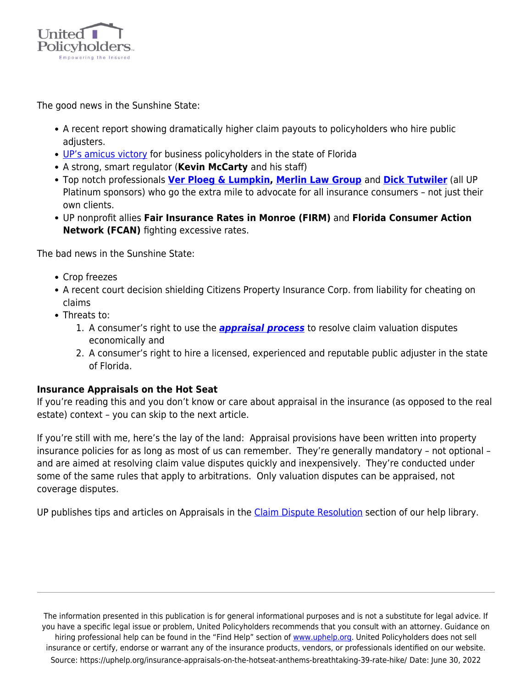

The good news in the Sunshine State:

- A recent report showing dramatically higher claim payouts to policyholders who hire public adjusters.
- [UP's amicus victory](https://uphelp.org/wp-content/uploads/2020/08/Penzer-Michael-etc.-vs.-Transportation-Ins.-Co.-Brief.pdf) for business policyholders in the state of Florida
- A strong, smart regulator (**Kevin McCarty** and his staff)
- Top notch professionals **[Ver Ploeg & Lumpkin,](http://www.vpl-law.com/) [Merlin Law Group](http://www.merlinlawgroup.com/)** and **[Dick Tutwiler](http://www.publicadjuster.com/)** (all UP Platinum sponsors) who go the extra mile to advocate for all insurance consumers – not just their own clients.
- UP nonprofit allies **Fair Insurance Rates in Monroe (FIRM)** and **Florida Consumer Action Network (FCAN)** fighting excessive rates.

The bad news in the Sunshine State:

- Crop freezes
- A recent court decision shielding Citizens Property Insurance Corp. from liability for cheating on claims
- Threats to:
	- 1. A consumer's right to use the *[appraisal process](https://uphelp.org/claim-guidance-publications/policyholders-can-win-in-appraisal/)* to resolve claim valuation disputes economically and
	- 2. A consumer's right to hire a licensed, experienced and reputable public adjuster in the state of Florida.

## **Insurance Appraisals on the Hot Seat**

If you're reading this and you don't know or care about appraisal in the insurance (as opposed to the real estate) context – you can skip to the next article.

If you're still with me, here's the lay of the land: Appraisal provisions have been written into property insurance policies for as long as most of us can remember. They're generally mandatory – not optional – and are aimed at resolving claim value disputes quickly and inexpensively. They're conducted under some of the same rules that apply to arbitrations. Only valuation disputes can be appraised, not coverage disputes.

UP publishes tips and articles on Appraisals in the [Claim Dispute Resolution](https://uphelp.org/claim-guidance-publications/resolving-claim-disputes/) section of our help library.

The information presented in this publication is for general informational purposes and is not a substitute for legal advice. If you have a specific legal issue or problem, United Policyholders recommends that you consult with an attorney. Guidance on hiring professional help can be found in the "Find Help" section of [www.uphelp.org.](http://www.uphelp.org/) United Policyholders does not sell insurance or certify, endorse or warrant any of the insurance products, vendors, or professionals identified on our website. Source: https://uphelp.org/insurance-appraisals-on-the-hotseat-anthems-breathtaking-39-rate-hike/ Date: June 30, 2022